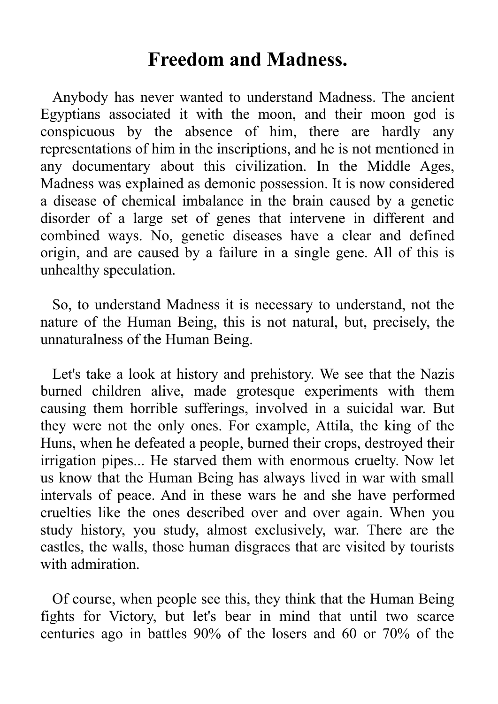## **Freedom and Madness.**

Anybody has never wanted to understand Madness. The ancient Egyptians associated it with the moon, and their moon god is conspicuous by the absence of him, there are hardly any representations of him in the inscriptions, and he is not mentioned in any documentary about this civilization. In the Middle Ages, Madness was explained as demonic possession. It is now considered a disease of chemical imbalance in the brain caused by a genetic disorder of a large set of genes that intervene in different and combined ways. No, genetic diseases have a clear and defined origin, and are caused by a failure in a single gene. All of this is unhealthy speculation.

So, to understand Madness it is necessary to understand, not the nature of the Human Being, this is not natural, but, precisely, the unnaturalness of the Human Being.

Let's take a look at history and prehistory. We see that the Nazis burned children alive, made grotesque experiments with them causing them horrible sufferings, involved in a suicidal war. But they were not the only ones. For example, Attila, the king of the Huns, when he defeated a people, burned their crops, destroyed their irrigation pipes... He starved them with enormous cruelty. Now let us know that the Human Being has always lived in war with small intervals of peace. And in these wars he and she have performed cruelties like the ones described over and over again. When you study history, you study, almost exclusively, war. There are the castles, the walls, those human disgraces that are visited by tourists with admiration.

Of course, when people see this, they think that the Human Being fights for Victory, but let's bear in mind that until two scarce centuries ago in battles 90% of the losers and 60 or 70% of the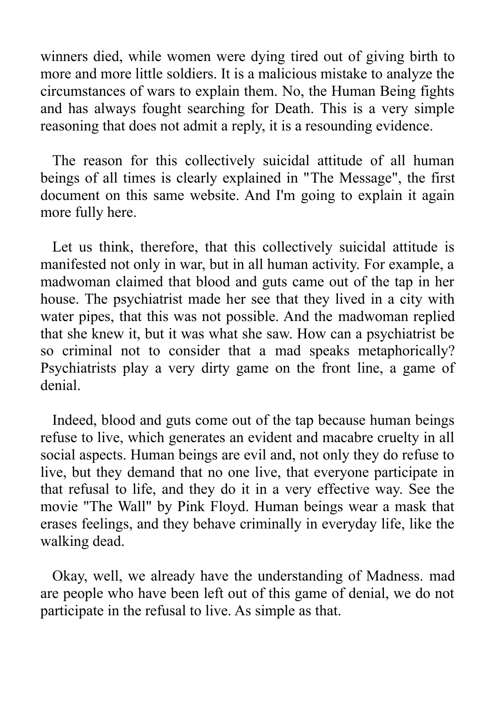winners died, while women were dying tired out of giving birth to more and more little soldiers. It is a malicious mistake to analyze the circumstances of wars to explain them. No, the Human Being fights and has always fought searching for Death. This is a very simple reasoning that does not admit a reply, it is a resounding evidence.

The reason for this collectively suicidal attitude of all human beings of all times is clearly explained in "The Message", the first document on this same website. And I'm going to explain it again more fully here.

Let us think, therefore, that this collectively suicidal attitude is manifested not only in war, but in all human activity. For example, a madwoman claimed that blood and guts came out of the tap in her house. The psychiatrist made her see that they lived in a city with water pipes, that this was not possible. And the madwoman replied that she knew it, but it was what she saw. How can a psychiatrist be so criminal not to consider that a mad speaks metaphorically? Psychiatrists play a very dirty game on the front line, a game of denial.

Indeed, blood and guts come out of the tap because human beings refuse to live, which generates an evident and macabre cruelty in all social aspects. Human beings are evil and, not only they do refuse to live, but they demand that no one live, that everyone participate in that refusal to life, and they do it in a very effective way. See the movie "The Wall" by Pink Floyd. Human beings wear a mask that erases feelings, and they behave criminally in everyday life, like the walking dead.

Okay, well, we already have the understanding of Madness. mad are people who have been left out of this game of denial, we do not participate in the refusal to live. As simple as that.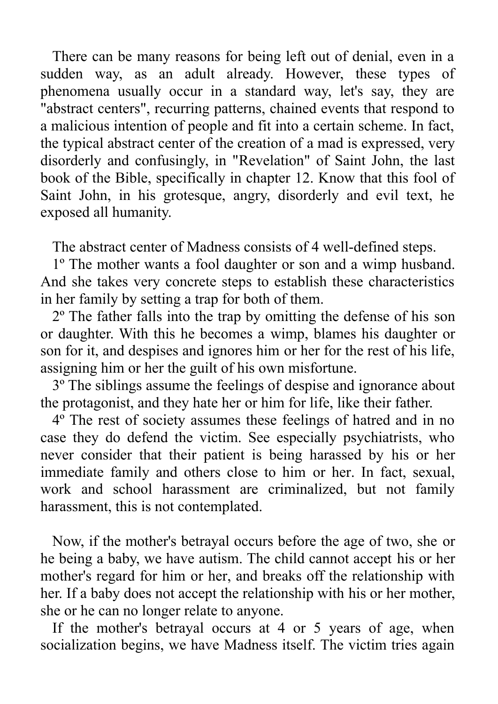There can be many reasons for being left out of denial, even in a sudden way, as an adult already. However, these types of phenomena usually occur in a standard way, let's say, they are "abstract centers", recurring patterns, chained events that respond to a malicious intention of people and fit into a certain scheme. In fact, the typical abstract center of the creation of a mad is expressed, very disorderly and confusingly, in "Revelation" of Saint John, the last book of the Bible, specifically in chapter 12. Know that this fool of Saint John, in his grotesque, angry, disorderly and evil text, he exposed all humanity.

The abstract center of Madness consists of 4 well-defined steps.

1º The mother wants a fool daughter or son and a wimp husband. And she takes very concrete steps to establish these characteristics in her family by setting a trap for both of them.

2º The father falls into the trap by omitting the defense of his son or daughter. With this he becomes a wimp, blames his daughter or son for it, and despises and ignores him or her for the rest of his life, assigning him or her the guilt of his own misfortune.

3º The siblings assume the feelings of despise and ignorance about the protagonist, and they hate her or him for life, like their father.

4º The rest of society assumes these feelings of hatred and in no case they do defend the victim. See especially psychiatrists, who never consider that their patient is being harassed by his or her immediate family and others close to him or her. In fact, sexual, work and school harassment are criminalized, but not family harassment, this is not contemplated.

Now, if the mother's betrayal occurs before the age of two, she or he being a baby, we have autism. The child cannot accept his or her mother's regard for him or her, and breaks off the relationship with her. If a baby does not accept the relationship with his or her mother, she or he can no longer relate to anyone.

If the mother's betrayal occurs at 4 or 5 years of age, when socialization begins, we have Madness itself. The victim tries again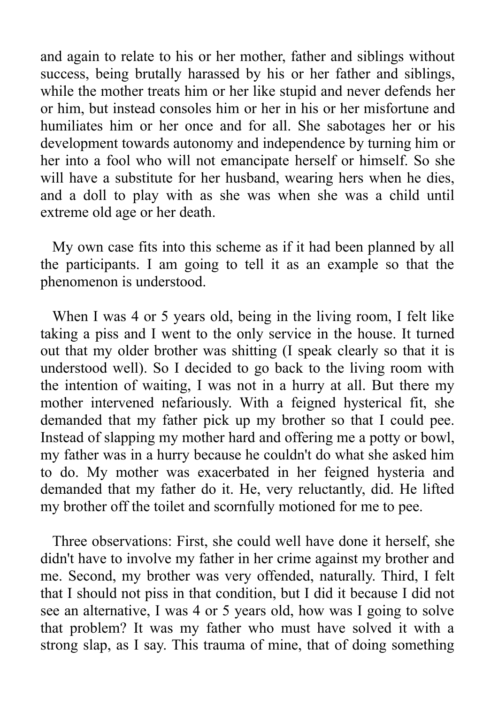and again to relate to his or her mother, father and siblings without success, being brutally harassed by his or her father and siblings, while the mother treats him or her like stupid and never defends her or him, but instead consoles him or her in his or her misfortune and humiliates him or her once and for all. She sabotages her or his development towards autonomy and independence by turning him or her into a fool who will not emancipate herself or himself. So she will have a substitute for her husband, wearing hers when he dies, and a doll to play with as she was when she was a child until extreme old age or her death.

My own case fits into this scheme as if it had been planned by all the participants. I am going to tell it as an example so that the phenomenon is understood.

When I was 4 or 5 years old, being in the living room, I felt like taking a piss and I went to the only service in the house. It turned out that my older brother was shitting (I speak clearly so that it is understood well). So I decided to go back to the living room with the intention of waiting, I was not in a hurry at all. But there my mother intervened nefariously. With a feigned hysterical fit, she demanded that my father pick up my brother so that I could pee. Instead of slapping my mother hard and offering me a potty or bowl, my father was in a hurry because he couldn't do what she asked him to do. My mother was exacerbated in her feigned hysteria and demanded that my father do it. He, very reluctantly, did. He lifted my brother off the toilet and scornfully motioned for me to pee.

Three observations: First, she could well have done it herself, she didn't have to involve my father in her crime against my brother and me. Second, my brother was very offended, naturally. Third, I felt that I should not piss in that condition, but I did it because I did not see an alternative, I was 4 or 5 years old, how was I going to solve that problem? It was my father who must have solved it with a strong slap, as I say. This trauma of mine, that of doing something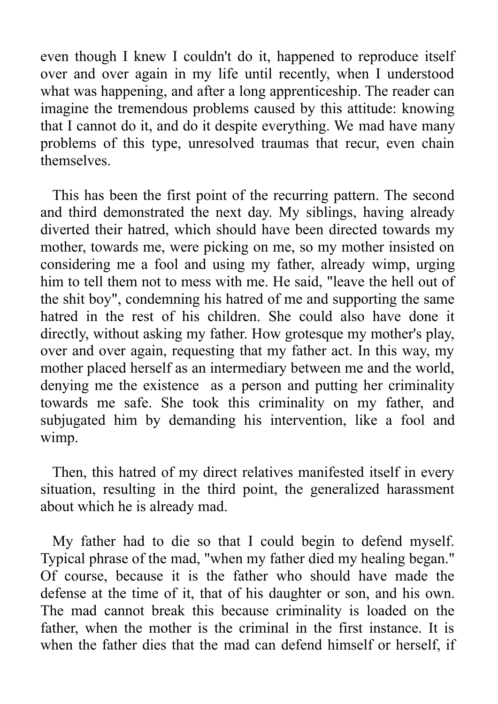even though I knew I couldn't do it, happened to reproduce itself over and over again in my life until recently, when I understood what was happening, and after a long apprenticeship. The reader can imagine the tremendous problems caused by this attitude: knowing that I cannot do it, and do it despite everything. We mad have many problems of this type, unresolved traumas that recur, even chain themselves.

This has been the first point of the recurring pattern. The second and third demonstrated the next day. My siblings, having already diverted their hatred, which should have been directed towards my mother, towards me, were picking on me, so my mother insisted on considering me a fool and using my father, already wimp, urging him to tell them not to mess with me. He said, "leave the hell out of the shit boy", condemning his hatred of me and supporting the same hatred in the rest of his children. She could also have done it directly, without asking my father. How grotesque my mother's play, over and over again, requesting that my father act. In this way, my mother placed herself as an intermediary between me and the world, denying me the existence as a person and putting her criminality towards me safe. She took this criminality on my father, and subjugated him by demanding his intervention, like a fool and wimp.

Then, this hatred of my direct relatives manifested itself in every situation, resulting in the third point, the generalized harassment about which he is already mad.

My father had to die so that I could begin to defend myself. Typical phrase of the mad, "when my father died my healing began." Of course, because it is the father who should have made the defense at the time of it, that of his daughter or son, and his own. The mad cannot break this because criminality is loaded on the father, when the mother is the criminal in the first instance. It is when the father dies that the mad can defend himself or herself, if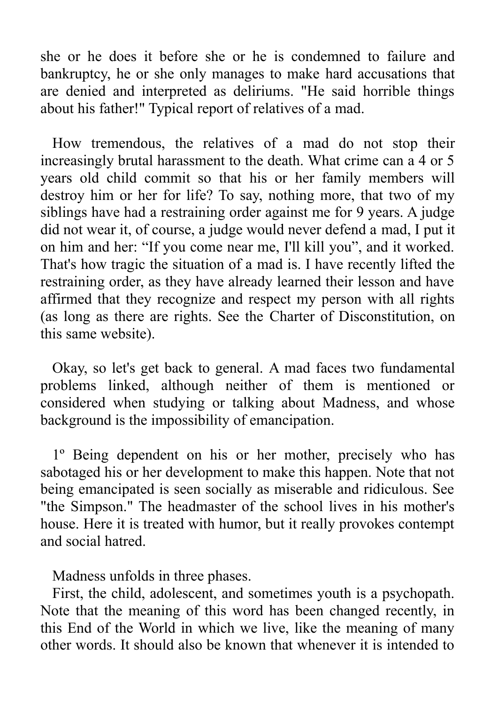she or he does it before she or he is condemned to failure and bankruptcy, he or she only manages to make hard accusations that are denied and interpreted as deliriums. "He said horrible things about his father!" Typical report of relatives of a mad.

How tremendous, the relatives of a mad do not stop their increasingly brutal harassment to the death. What crime can a 4 or 5 years old child commit so that his or her family members will destroy him or her for life? To say, nothing more, that two of my siblings have had a restraining order against me for 9 years. A judge did not wear it, of course, a judge would never defend a mad, I put it on him and her: "If you come near me, I'll kill you", and it worked. That's how tragic the situation of a mad is. I have recently lifted the restraining order, as they have already learned their lesson and have affirmed that they recognize and respect my person with all rights (as long as there are rights. See the Charter of Disconstitution, on this same website).

Okay, so let's get back to general. A mad faces two fundamental problems linked, although neither of them is mentioned or considered when studying or talking about Madness, and whose background is the impossibility of emancipation.

1º Being dependent on his or her mother, precisely who has sabotaged his or her development to make this happen. Note that not being emancipated is seen socially as miserable and ridiculous. See "the Simpson." The headmaster of the school lives in his mother's house. Here it is treated with humor, but it really provokes contempt and social hatred.

Madness unfolds in three phases.

First, the child, adolescent, and sometimes youth is a psychopath. Note that the meaning of this word has been changed recently, in this End of the World in which we live, like the meaning of many other words. It should also be known that whenever it is intended to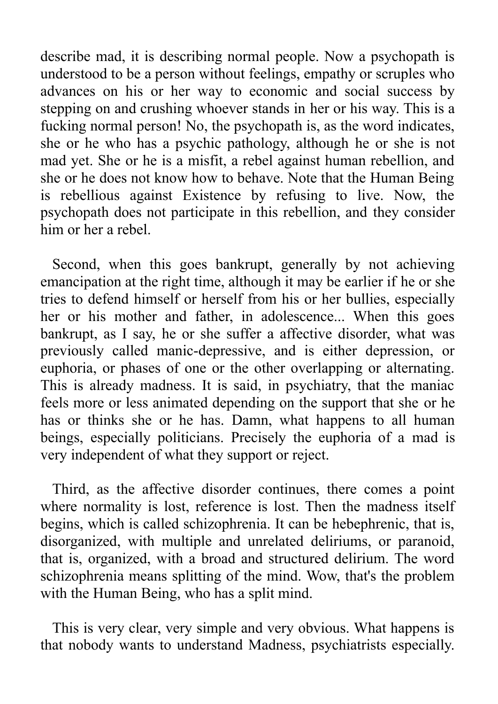describe mad, it is describing normal people. Now a psychopath is understood to be a person without feelings, empathy or scruples who advances on his or her way to economic and social success by stepping on and crushing whoever stands in her or his way. This is a fucking normal person! No, the psychopath is, as the word indicates, she or he who has a psychic pathology, although he or she is not mad yet. She or he is a misfit, a rebel against human rebellion, and she or he does not know how to behave. Note that the Human Being is rebellious against Existence by refusing to live. Now, the psychopath does not participate in this rebellion, and they consider him or her a rebel.

Second, when this goes bankrupt, generally by not achieving emancipation at the right time, although it may be earlier if he or she tries to defend himself or herself from his or her bullies, especially her or his mother and father, in adolescence... When this goes bankrupt, as I say, he or she suffer a affective disorder, what was previously called manic-depressive, and is either depression, or euphoria, or phases of one or the other overlapping or alternating. This is already madness. It is said, in psychiatry, that the maniac feels more or less animated depending on the support that she or he has or thinks she or he has. Damn, what happens to all human beings, especially politicians. Precisely the euphoria of a mad is very independent of what they support or reject.

Third, as the affective disorder continues, there comes a point where normality is lost, reference is lost. Then the madness itself begins, which is called schizophrenia. It can be hebephrenic, that is, disorganized, with multiple and unrelated deliriums, or paranoid, that is, organized, with a broad and structured delirium. The word schizophrenia means splitting of the mind. Wow, that's the problem with the Human Being, who has a split mind.

This is very clear, very simple and very obvious. What happens is that nobody wants to understand Madness, psychiatrists especially.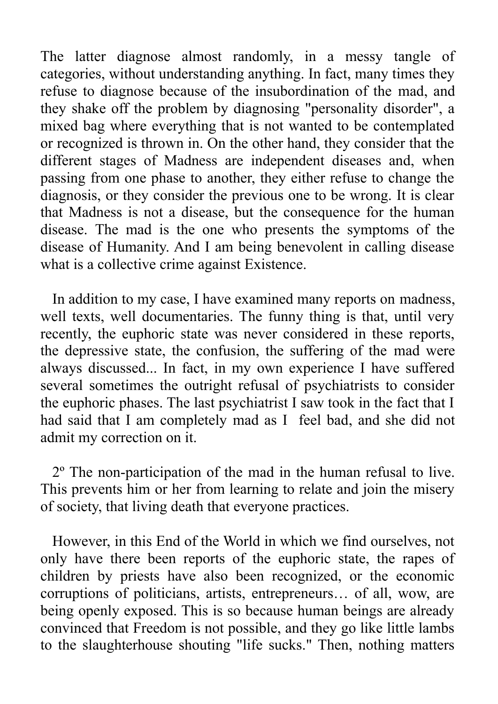The latter diagnose almost randomly, in a messy tangle of categories, without understanding anything. In fact, many times they refuse to diagnose because of the insubordination of the mad, and they shake off the problem by diagnosing "personality disorder", a mixed bag where everything that is not wanted to be contemplated or recognized is thrown in. On the other hand, they consider that the different stages of Madness are independent diseases and, when passing from one phase to another, they either refuse to change the diagnosis, or they consider the previous one to be wrong. It is clear that Madness is not a disease, but the consequence for the human disease. The mad is the one who presents the symptoms of the disease of Humanity. And I am being benevolent in calling disease what is a collective crime against Existence.

In addition to my case, I have examined many reports on madness, well texts, well documentaries. The funny thing is that, until very recently, the euphoric state was never considered in these reports, the depressive state, the confusion, the suffering of the mad were always discussed... In fact, in my own experience I have suffered several sometimes the outright refusal of psychiatrists to consider the euphoric phases. The last psychiatrist I saw took in the fact that I had said that I am completely mad as I feel bad, and she did not admit my correction on it.

2º The non-participation of the mad in the human refusal to live. This prevents him or her from learning to relate and join the misery of society, that living death that everyone practices.

However, in this End of the World in which we find ourselves, not only have there been reports of the euphoric state, the rapes of children by priests have also been recognized, or the economic corruptions of politicians, artists, entrepreneurs… of all, wow, are being openly exposed. This is so because human beings are already convinced that Freedom is not possible, and they go like little lambs to the slaughterhouse shouting "life sucks." Then, nothing matters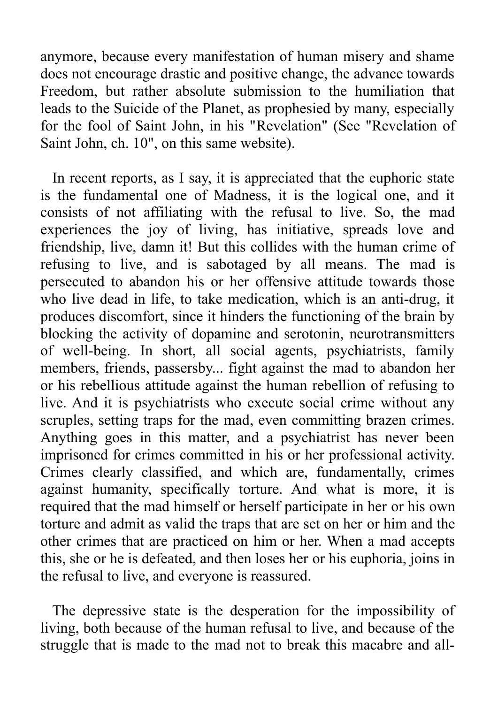anymore, because every manifestation of human misery and shame does not encourage drastic and positive change, the advance towards Freedom, but rather absolute submission to the humiliation that leads to the Suicide of the Planet, as prophesied by many, especially for the fool of Saint John, in his "Revelation" (See "Revelation of Saint John, ch. 10", on this same website).

In recent reports, as I say, it is appreciated that the euphoric state is the fundamental one of Madness, it is the logical one, and it consists of not affiliating with the refusal to live. So, the mad experiences the joy of living, has initiative, spreads love and friendship, live, damn it! But this collides with the human crime of refusing to live, and is sabotaged by all means. The mad is persecuted to abandon his or her offensive attitude towards those who live dead in life, to take medication, which is an anti-drug, it produces discomfort, since it hinders the functioning of the brain by blocking the activity of dopamine and serotonin, neurotransmitters of well-being. In short, all social agents, psychiatrists, family members, friends, passersby... fight against the mad to abandon her or his rebellious attitude against the human rebellion of refusing to live. And it is psychiatrists who execute social crime without any scruples, setting traps for the mad, even committing brazen crimes. Anything goes in this matter, and a psychiatrist has never been imprisoned for crimes committed in his or her professional activity. Crimes clearly classified, and which are, fundamentally, crimes against humanity, specifically torture. And what is more, it is required that the mad himself or herself participate in her or his own torture and admit as valid the traps that are set on her or him and the other crimes that are practiced on him or her. When a mad accepts this, she or he is defeated, and then loses her or his euphoria, joins in the refusal to live, and everyone is reassured.

The depressive state is the desperation for the impossibility of living, both because of the human refusal to live, and because of the struggle that is made to the mad not to break this macabre and all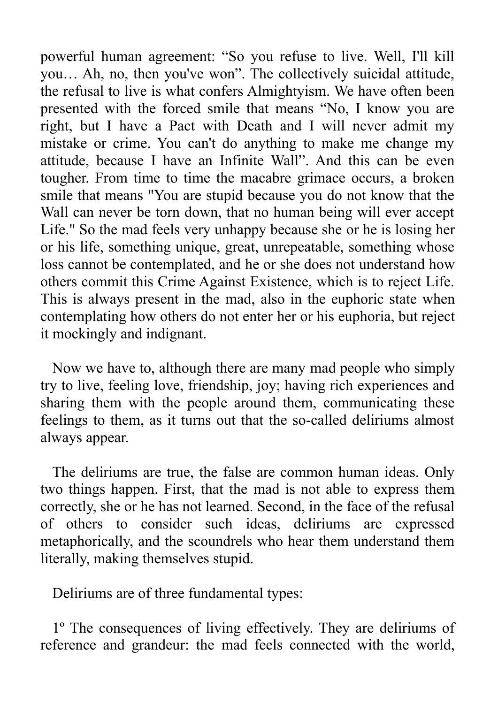powerful human agreement: "So you refuse to live. Well, I'll kill you… Ah, no, then you've won". The collectively suicidal attitude, the refusal to live is what confers Almightyism. We have often been presented with the forced smile that means "No, I know you are right, but I have a Pact with Death and I will never admit my mistake or crime. You can't do anything to make me change my attitude, because I have an Infinite Wall". And this can be even tougher. From time to time the macabre grimace occurs, a broken smile that means "You are stupid because you do not know that the Wall can never be torn down, that no human being will ever accept Life." So the mad feels very unhappy because she or he is losing her or his life, something unique, great, unrepeatable, something whose loss cannot be contemplated, and he or she does not understand how others commit this Crime Against Existence, which is to reject Life. This is always present in the mad, also in the euphoric state when contemplating how others do not enter her or his euphoria, but reject it mockingly and indignant.

Now we have to, although there are many mad people who simply try to live, feeling love, friendship, joy; having rich experiences and sharing them with the people around them, communicating these feelings to them, as it turns out that the so-called deliriums almost always appear.

The deliriums are true, the false are common human ideas. Only two things happen. First, that the mad is not able to express them correctly, she or he has not learned. Second, in the face of the refusal of others to consider such ideas, deliriums are expressed metaphorically, and the scoundrels who hear them understand them literally, making themselves stupid.

Deliriums are of three fundamental types:

1º The consequences of living effectively. They are deliriums of reference and grandeur: the mad feels connected with the world,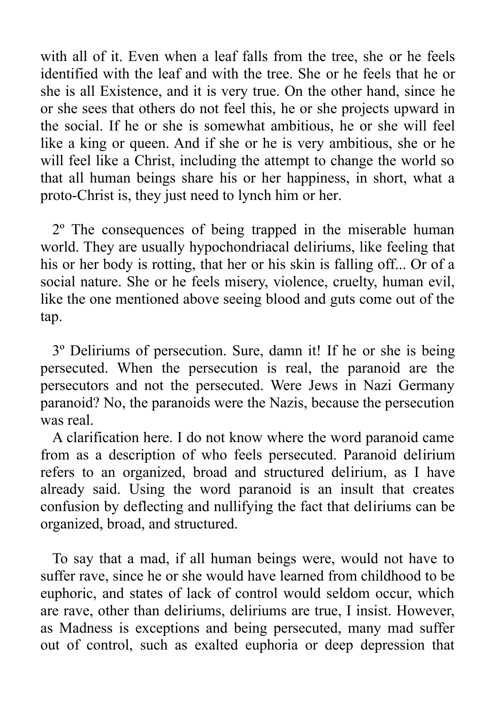with all of it. Even when a leaf falls from the tree, she or he feels identified with the leaf and with the tree. She or he feels that he or she is all Existence, and it is very true. On the other hand, since he or she sees that others do not feel this, he or she projects upward in the social. If he or she is somewhat ambitious, he or she will feel like a king or queen. And if she or he is very ambitious, she or he will feel like a Christ, including the attempt to change the world so that all human beings share his or her happiness, in short, what a proto-Christ is, they just need to lynch him or her.

2º The consequences of being trapped in the miserable human world. They are usually hypochondriacal deliriums, like feeling that his or her body is rotting, that her or his skin is falling off... Or of a social nature. She or he feels misery, violence, cruelty, human evil, like the one mentioned above seeing blood and guts come out of the tap.

3º Deliriums of persecution. Sure, damn it! If he or she is being persecuted. When the persecution is real, the paranoid are the persecutors and not the persecuted. Were Jews in Nazi Germany paranoid? No, the paranoids were the Nazis, because the persecution was real.

A clarification here. I do not know where the word paranoid came from as a description of who feels persecuted. Paranoid delirium refers to an organized, broad and structured delirium, as I have already said. Using the word paranoid is an insult that creates confusion by deflecting and nullifying the fact that deliriums can be organized, broad, and structured.

To say that a mad, if all human beings were, would not have to suffer rave, since he or she would have learned from childhood to be euphoric, and states of lack of control would seldom occur, which are rave, other than deliriums, deliriums are true, I insist. However, as Madness is exceptions and being persecuted, many mad suffer out of control, such as exalted euphoria or deep depression that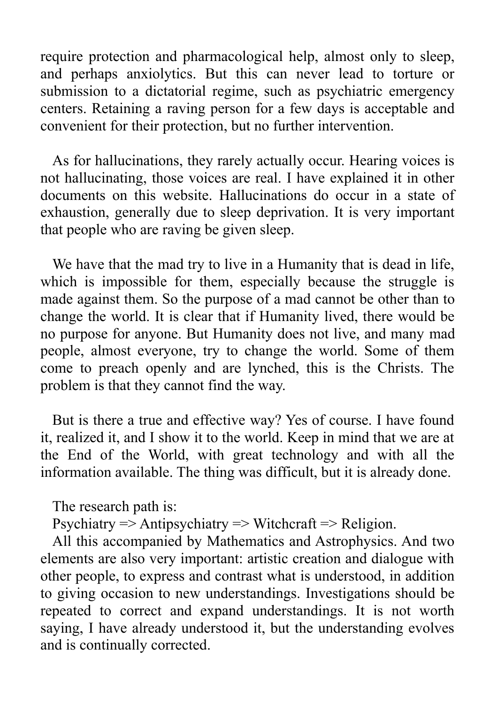require protection and pharmacological help, almost only to sleep, and perhaps anxiolytics. But this can never lead to torture or submission to a dictatorial regime, such as psychiatric emergency centers. Retaining a raving person for a few days is acceptable and convenient for their protection, but no further intervention.

As for hallucinations, they rarely actually occur. Hearing voices is not hallucinating, those voices are real. I have explained it in other documents on this website. Hallucinations do occur in a state of exhaustion, generally due to sleep deprivation. It is very important that people who are raving be given sleep.

We have that the mad try to live in a Humanity that is dead in life, which is impossible for them, especially because the struggle is made against them. So the purpose of a mad cannot be other than to change the world. It is clear that if Humanity lived, there would be no purpose for anyone. But Humanity does not live, and many mad people, almost everyone, try to change the world. Some of them come to preach openly and are lynched, this is the Christs. The problem is that they cannot find the way.

But is there a true and effective way? Yes of course. I have found it, realized it, and I show it to the world. Keep in mind that we are at the End of the World, with great technology and with all the information available. The thing was difficult, but it is already done.

The research path is:

Psychiatry  $\Rightarrow$  Antipsychiatry  $\Rightarrow$  Witchcraft  $\Rightarrow$  Religion.

All this accompanied by Mathematics and Astrophysics. And two elements are also very important: artistic creation and dialogue with other people, to express and contrast what is understood, in addition to giving occasion to new understandings. Investigations should be repeated to correct and expand understandings. It is not worth saying, I have already understood it, but the understanding evolves and is continually corrected.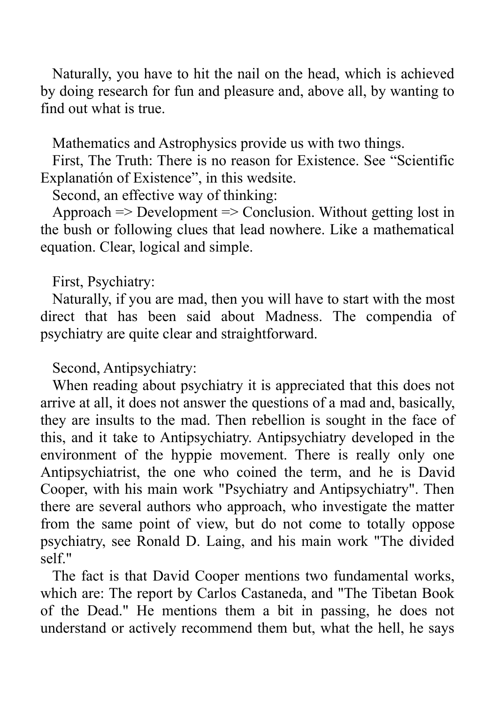Naturally, you have to hit the nail on the head, which is achieved by doing research for fun and pleasure and, above all, by wanting to find out what is true.

Mathematics and Astrophysics provide us with two things.

First, The Truth: There is no reason for Existence. See "Scientific Explanatión of Existence", in this wedsite.

Second, an effective way of thinking:

Approach => Development => Conclusion. Without getting lost in the bush or following clues that lead nowhere. Like a mathematical equation. Clear, logical and simple.

First, Psychiatry:

Naturally, if you are mad, then you will have to start with the most direct that has been said about Madness. The compendia of psychiatry are quite clear and straightforward.

## Second, Antipsychiatry:

When reading about psychiatry it is appreciated that this does not arrive at all, it does not answer the questions of a mad and, basically, they are insults to the mad. Then rebellion is sought in the face of this, and it take to Antipsychiatry. Antipsychiatry developed in the environment of the hyppie movement. There is really only one Antipsychiatrist, the one who coined the term, and he is David Cooper, with his main work "Psychiatry and Antipsychiatry". Then there are several authors who approach, who investigate the matter from the same point of view, but do not come to totally oppose psychiatry, see Ronald D. Laing, and his main work "The divided self."

The fact is that David Cooper mentions two fundamental works, which are: The report by Carlos Castaneda, and "The Tibetan Book of the Dead." He mentions them a bit in passing, he does not understand or actively recommend them but, what the hell, he says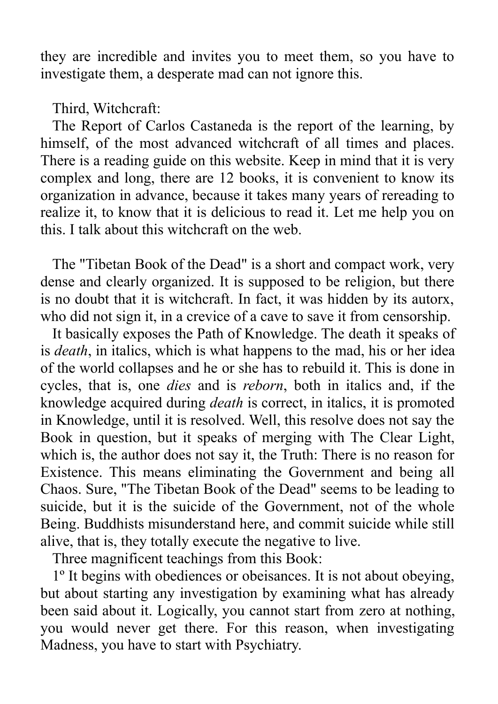they are incredible and invites you to meet them, so you have to investigate them, a desperate mad can not ignore this.

Third, Witchcraft:

The Report of Carlos Castaneda is the report of the learning, by himself, of the most advanced witchcraft of all times and places. There is a reading guide on this website. Keep in mind that it is very complex and long, there are 12 books, it is convenient to know its organization in advance, because it takes many years of rereading to realize it, to know that it is delicious to read it. Let me help you on this. I talk about this witchcraft on the web.

The "Tibetan Book of the Dead" is a short and compact work, very dense and clearly organized. It is supposed to be religion, but there is no doubt that it is witchcraft. In fact, it was hidden by its autorx, who did not sign it, in a crevice of a cave to save it from censorship.

It basically exposes the Path of Knowledge. The death it speaks of is *death*, in italics, which is what happens to the mad, his or her idea of the world collapses and he or she has to rebuild it. This is done in cycles, that is, one *dies* and is *reborn*, both in italics and, if the knowledge acquired during *death* is correct, in italics, it is promoted in Knowledge, until it is resolved. Well, this resolve does not say the Book in question, but it speaks of merging with The Clear Light, which is, the author does not say it, the Truth: There is no reason for Existence. This means eliminating the Government and being all Chaos. Sure, "The Tibetan Book of the Dead" seems to be leading to suicide, but it is the suicide of the Government, not of the whole Being. Buddhists misunderstand here, and commit suicide while still alive, that is, they totally execute the negative to live.

Three magnificent teachings from this Book:

1º It begins with obediences or obeisances. It is not about obeying, but about starting any investigation by examining what has already been said about it. Logically, you cannot start from zero at nothing, you would never get there. For this reason, when investigating Madness, you have to start with Psychiatry.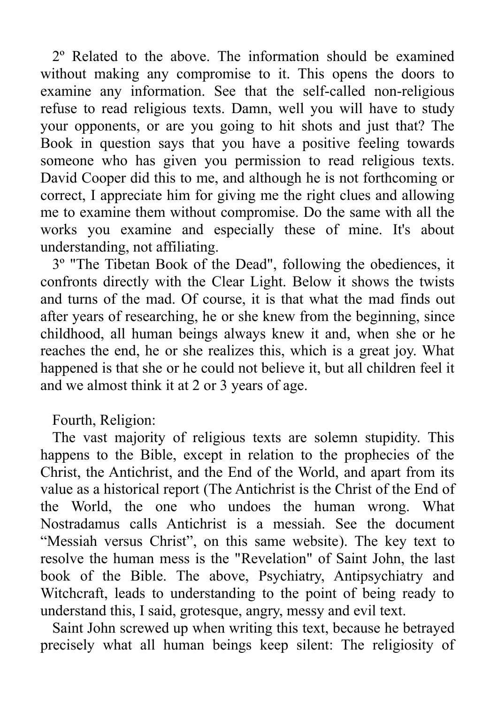2º Related to the above. The information should be examined without making any compromise to it. This opens the doors to examine any information. See that the self-called non-religious refuse to read religious texts. Damn, well you will have to study your opponents, or are you going to hit shots and just that? The Book in question says that you have a positive feeling towards someone who has given you permission to read religious texts. David Cooper did this to me, and although he is not forthcoming or correct, I appreciate him for giving me the right clues and allowing me to examine them without compromise. Do the same with all the works you examine and especially these of mine. It's about understanding, not affiliating.

3º "The Tibetan Book of the Dead", following the obediences, it confronts directly with the Clear Light. Below it shows the twists and turns of the mad. Of course, it is that what the mad finds out after years of researching, he or she knew from the beginning, since childhood, all human beings always knew it and, when she or he reaches the end, he or she realizes this, which is a great joy. What happened is that she or he could not believe it, but all children feel it and we almost think it at 2 or 3 years of age.

Fourth, Religion:

The vast majority of religious texts are solemn stupidity. This happens to the Bible, except in relation to the prophecies of the Christ, the Antichrist, and the End of the World, and apart from its value as a historical report (The Antichrist is the Christ of the End of the World, the one who undoes the human wrong. What Nostradamus calls Antichrist is a messiah. See the document "Messiah versus Christ", on this same website). The key text to resolve the human mess is the "Revelation" of Saint John, the last book of the Bible. The above, Psychiatry, Antipsychiatry and Witchcraft, leads to understanding to the point of being ready to understand this, I said, grotesque, angry, messy and evil text.

Saint John screwed up when writing this text, because he betrayed precisely what all human beings keep silent: The religiosity of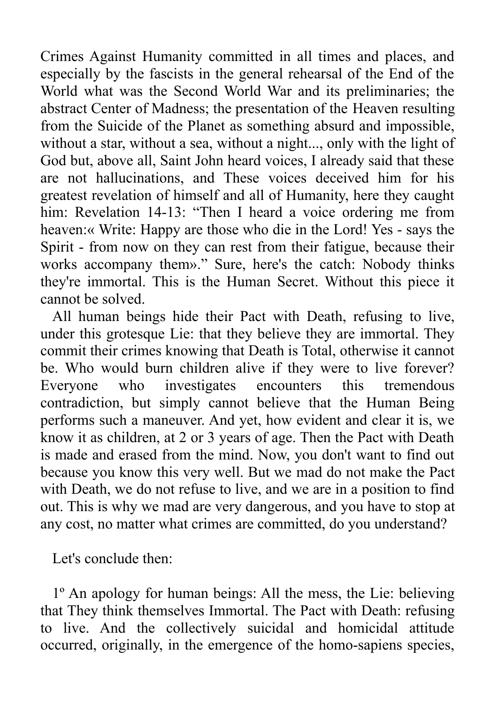Crimes Against Humanity committed in all times and places, and especially by the fascists in the general rehearsal of the End of the World what was the Second World War and its preliminaries; the abstract Center of Madness; the presentation of the Heaven resulting from the Suicide of the Planet as something absurd and impossible, without a star, without a sea, without a night..., only with the light of God but, above all, Saint John heard voices, I already said that these are not hallucinations, and These voices deceived him for his greatest revelation of himself and all of Humanity, here they caught him: Revelation 14-13: "Then I heard a voice ordering me from heaven:« Write: Happy are those who die in the Lord! Yes - says the Spirit - from now on they can rest from their fatigue, because their works accompany them»." Sure, here's the catch: Nobody thinks they're immortal. This is the Human Secret. Without this piece it cannot be solved.

All human beings hide their Pact with Death, refusing to live, under this grotesque Lie: that they believe they are immortal. They commit their crimes knowing that Death is Total, otherwise it cannot be. Who would burn children alive if they were to live forever? Everyone who investigates encounters this tremendous contradiction, but simply cannot believe that the Human Being performs such a maneuver. And yet, how evident and clear it is, we know it as children, at 2 or 3 years of age. Then the Pact with Death is made and erased from the mind. Now, you don't want to find out because you know this very well. But we mad do not make the Pact with Death, we do not refuse to live, and we are in a position to find out. This is why we mad are very dangerous, and you have to stop at any cost, no matter what crimes are committed, do you understand?

Let's conclude then:

1º An apology for human beings: All the mess, the Lie: believing that They think themselves Immortal. The Pact with Death: refusing to live. And the collectively suicidal and homicidal attitude occurred, originally, in the emergence of the homo-sapiens species,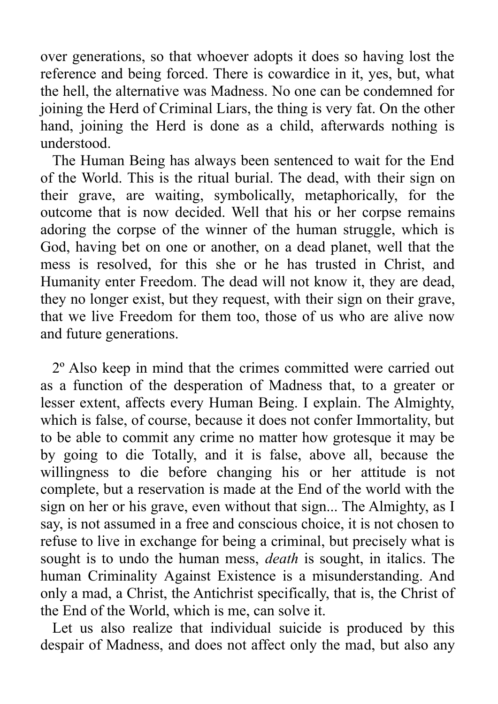over generations, so that whoever adopts it does so having lost the reference and being forced. There is cowardice in it, yes, but, what the hell, the alternative was Madness. No one can be condemned for joining the Herd of Criminal Liars, the thing is very fat. On the other hand, joining the Herd is done as a child, afterwards nothing is understood.

The Human Being has always been sentenced to wait for the End of the World. This is the ritual burial. The dead, with their sign on their grave, are waiting, symbolically, metaphorically, for the outcome that is now decided. Well that his or her corpse remains adoring the corpse of the winner of the human struggle, which is God, having bet on one or another, on a dead planet, well that the mess is resolved, for this she or he has trusted in Christ, and Humanity enter Freedom. The dead will not know it, they are dead, they no longer exist, but they request, with their sign on their grave, that we live Freedom for them too, those of us who are alive now and future generations.

2º Also keep in mind that the crimes committed were carried out as a function of the desperation of Madness that, to a greater or lesser extent, affects every Human Being. I explain. The Almighty, which is false, of course, because it does not confer Immortality, but to be able to commit any crime no matter how grotesque it may be by going to die Totally, and it is false, above all, because the willingness to die before changing his or her attitude is not complete, but a reservation is made at the End of the world with the sign on her or his grave, even without that sign... The Almighty, as I say, is not assumed in a free and conscious choice, it is not chosen to refuse to live in exchange for being a criminal, but precisely what is sought is to undo the human mess, *death* is sought, in italics. The human Criminality Against Existence is a misunderstanding. And only a mad, a Christ, the Antichrist specifically, that is, the Christ of the End of the World, which is me, can solve it.

Let us also realize that individual suicide is produced by this despair of Madness, and does not affect only the mad, but also any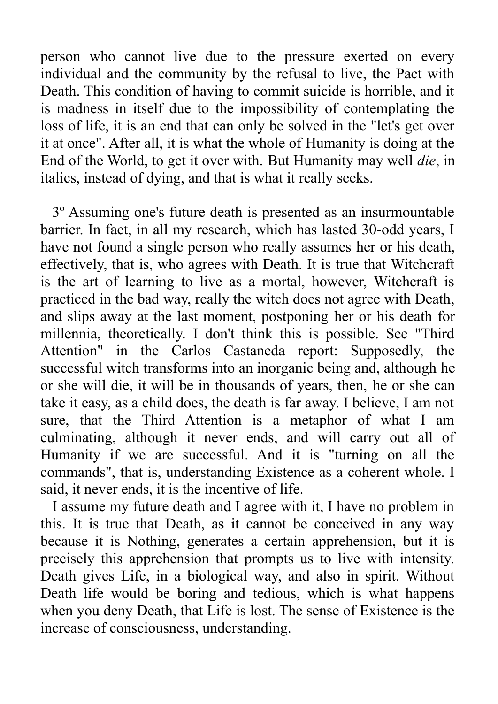person who cannot live due to the pressure exerted on every individual and the community by the refusal to live, the Pact with Death. This condition of having to commit suicide is horrible, and it is madness in itself due to the impossibility of contemplating the loss of life, it is an end that can only be solved in the "let's get over it at once". After all, it is what the whole of Humanity is doing at the End of the World, to get it over with. But Humanity may well *die*, in italics, instead of dying, and that is what it really seeks.

3º Assuming one's future death is presented as an insurmountable barrier. In fact, in all my research, which has lasted 30-odd years, I have not found a single person who really assumes her or his death, effectively, that is, who agrees with Death. It is true that Witchcraft is the art of learning to live as a mortal, however, Witchcraft is practiced in the bad way, really the witch does not agree with Death, and slips away at the last moment, postponing her or his death for millennia, theoretically. I don't think this is possible. See "Third Attention" in the Carlos Castaneda report: Supposedly, the successful witch transforms into an inorganic being and, although he or she will die, it will be in thousands of years, then, he or she can take it easy, as a child does, the death is far away. I believe, I am not sure, that the Third Attention is a metaphor of what I am culminating, although it never ends, and will carry out all of Humanity if we are successful. And it is "turning on all the commands", that is, understanding Existence as a coherent whole. I said, it never ends, it is the incentive of life.

I assume my future death and I agree with it, I have no problem in this. It is true that Death, as it cannot be conceived in any way because it is Nothing, generates a certain apprehension, but it is precisely this apprehension that prompts us to live with intensity. Death gives Life, in a biological way, and also in spirit. Without Death life would be boring and tedious, which is what happens when you deny Death, that Life is lost. The sense of Existence is the increase of consciousness, understanding.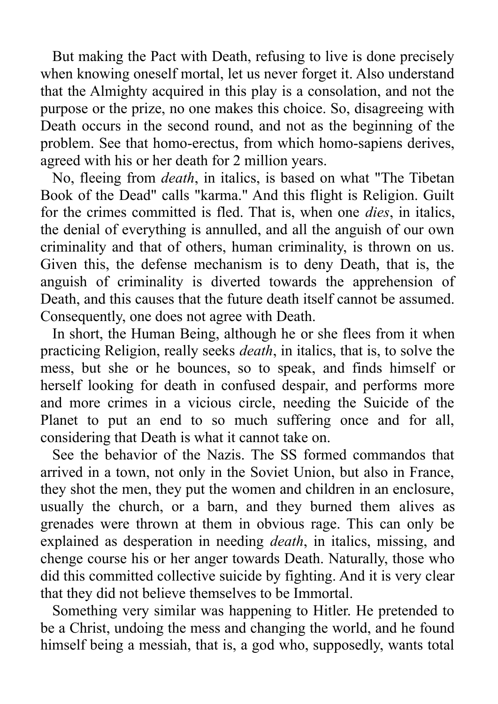But making the Pact with Death, refusing to live is done precisely when knowing oneself mortal, let us never forget it. Also understand that the Almighty acquired in this play is a consolation, and not the purpose or the prize, no one makes this choice. So, disagreeing with Death occurs in the second round, and not as the beginning of the problem. See that homo-erectus, from which homo-sapiens derives, agreed with his or her death for 2 million years.

No, fleeing from *death*, in italics, is based on what "The Tibetan Book of the Dead" calls "karma." And this flight is Religion. Guilt for the crimes committed is fled. That is, when one *dies*, in italics, the denial of everything is annulled, and all the anguish of our own criminality and that of others, human criminality, is thrown on us. Given this, the defense mechanism is to deny Death, that is, the anguish of criminality is diverted towards the apprehension of Death, and this causes that the future death itself cannot be assumed. Consequently, one does not agree with Death.

In short, the Human Being, although he or she flees from it when practicing Religion, really seeks *death*, in italics, that is, to solve the mess, but she or he bounces, so to speak, and finds himself or herself looking for death in confused despair, and performs more and more crimes in a vicious circle, needing the Suicide of the Planet to put an end to so much suffering once and for all, considering that Death is what it cannot take on.

See the behavior of the Nazis. The SS formed commandos that arrived in a town, not only in the Soviet Union, but also in France, they shot the men, they put the women and children in an enclosure, usually the church, or a barn, and they burned them alives as grenades were thrown at them in obvious rage. This can only be explained as desperation in needing *death*, in italics, missing, and chenge course his or her anger towards Death. Naturally, those who did this committed collective suicide by fighting. And it is very clear that they did not believe themselves to be Immortal.

Something very similar was happening to Hitler. He pretended to be a Christ, undoing the mess and changing the world, and he found himself being a messiah, that is, a god who, supposedly, wants total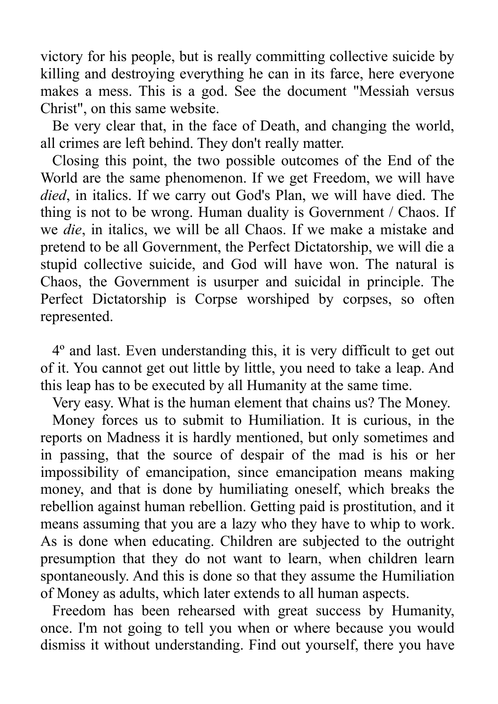victory for his people, but is really committing collective suicide by killing and destroying everything he can in its farce, here everyone makes a mess. This is a god. See the document "Messiah versus Christ", on this same website.

Be very clear that, in the face of Death, and changing the world, all crimes are left behind. They don't really matter.

Closing this point, the two possible outcomes of the End of the World are the same phenomenon. If we get Freedom, we will have *died*, in italics. If we carry out God's Plan, we will have died. The thing is not to be wrong. Human duality is Government / Chaos. If we *die*, in italics, we will be all Chaos. If we make a mistake and pretend to be all Government, the Perfect Dictatorship, we will die a stupid collective suicide, and God will have won. The natural is Chaos, the Government is usurper and suicidal in principle. The Perfect Dictatorship is Corpse worshiped by corpses, so often represented.

4º and last. Even understanding this, it is very difficult to get out of it. You cannot get out little by little, you need to take a leap. And this leap has to be executed by all Humanity at the same time.

Very easy. What is the human element that chains us? The Money.

Money forces us to submit to Humiliation. It is curious, in the reports on Madness it is hardly mentioned, but only sometimes and in passing, that the source of despair of the mad is his or her impossibility of emancipation, since emancipation means making money, and that is done by humiliating oneself, which breaks the rebellion against human rebellion. Getting paid is prostitution, and it means assuming that you are a lazy who they have to whip to work. As is done when educating. Children are subjected to the outright presumption that they do not want to learn, when children learn spontaneously. And this is done so that they assume the Humiliation of Money as adults, which later extends to all human aspects.

Freedom has been rehearsed with great success by Humanity, once. I'm not going to tell you when or where because you would dismiss it without understanding. Find out yourself, there you have